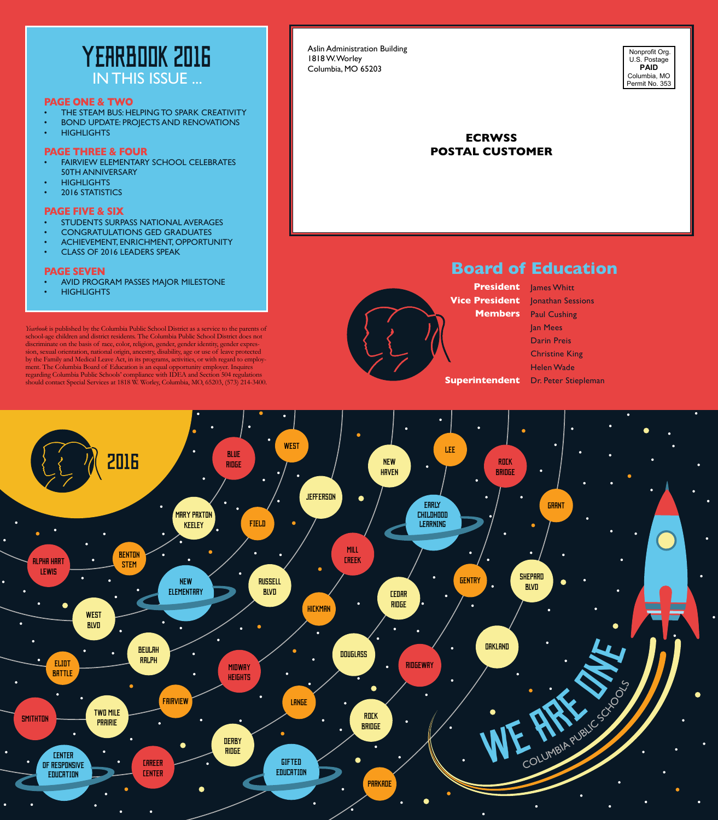

### **PAGE ONE & TWO**

- THE STEAM BUS: HELPING TO SPARK CREATIVITY
- BOND UPDATE: PROJECTS AND RENOVATIONS
- HIGHLIGHTS

### **PAGE THREE & FOUR**

- FAIRVIEW ELEMENTARY SCHOOL CELEBRATES 50TH ANNIVERSARY
- **HIGHLIGHTS**
- 2016 STATISTICS

### **PAGE FIVE & SIX**

- STUDENTS SURPASS NATIONAL AVERAGES
- CONGRATULATIONS GED GRADUATES
- ACHIEVEMENT, ENRICHMENT, OPPORTUNITY
- CLASS OF 2016 LEADERS SPEAK

### **PAGE SEVEN**

- AVID PROGRAM PASSES MAJOR MILESTONE
- **HIGHLIGHTS**

*Yearbook* is published by the Columbia Public School District as a service to the parents of school-age children and district residents. The Columbia Public School District does not discriminate on the basis of race, color, religion, gender, gender identity, gender expression, sexual orientation, national origin, ancestry, disability, age or use of leave protected by the Family and Medical Leave Act, in its programs, activities, or with regard to employment. The Columbia Board of Education is an equal opportunity employer. Inquires regarding Columbia Public Schools' compliance with IDEA and Section 504 regulations should contact Special Services at 1818 W. Worley, Columbia, MO, 65203, (573) 214-3400.

#### Aslin Administration Building 1818 W. Worley Columbia, MO 65203



## **ECRWSS POSTAL CUSTOMER**

## **Board of Education**

**President** James Whitt

**Vice President** Jonathan Sessions **Members** Paul Cushing **Superintendent** Dr. Peter Stiepleman Jan Mees Darin Preis Christine King Helen Wade

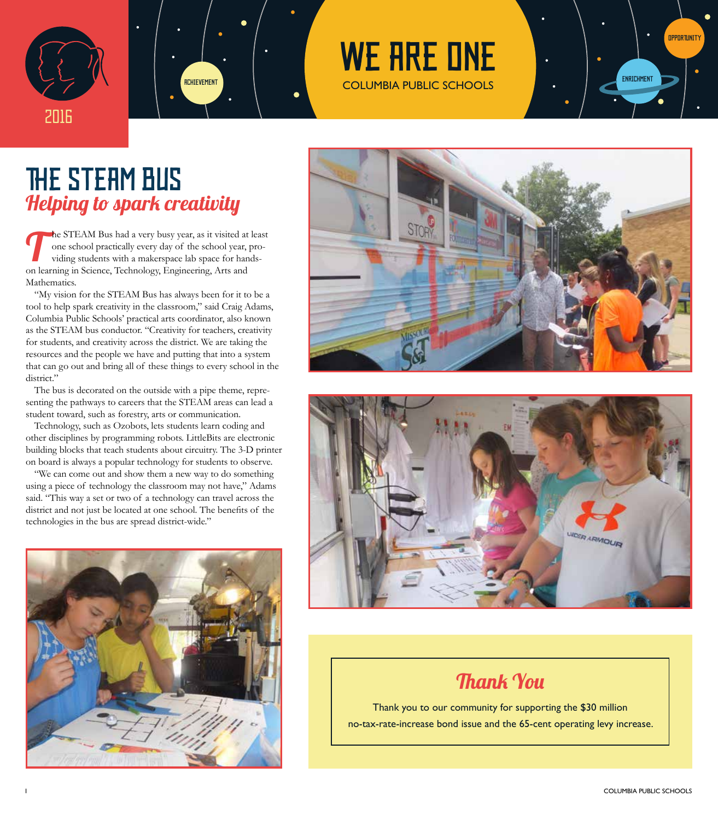



# WE ARE ONE



# THE STEAM BUS Helping to spark creativity

The STEAM Bus had a very busy year, as it visited at least<br>one school practically every day of the school year, pro-<br>viding students with a makerspace lab space for handsone school practically every day of the school year, providing students with a makerspace lab space for handson learning in Science, Technology, Engineering, Arts and Mathematics.

"My vision for the STEAM Bus has always been for it to be a tool to help spark creativity in the classroom," said Craig Adams, Columbia Public Schools' practical arts coordinator, also known as the STEAM bus conductor. "Creativity for teachers, creativity for students, and creativity across the district. We are taking the resources and the people we have and putting that into a system that can go out and bring all of these things to every school in the district."

The bus is decorated on the outside with a pipe theme, representing the pathways to careers that the STEAM areas can lead a student toward, such as forestry, arts or communication.

Technology, such as Ozobots, lets students learn coding and other disciplines by programming robots. LittleBits are electronic building blocks that teach students about circuitry. The 3-D printer on board is always a popular technology for students to observe.

"We can come out and show them a new way to do something using a piece of technology the classroom may not have," Adams said. "This way a set or two of a technology can travel across the district and not just be located at one school. The benefits of the technologies in the bus are spread district-wide."







## Thank You

Thank you to our community for supporting the \$30 million no-tax-rate-increase bond issue and the 65-cent operating levy increase.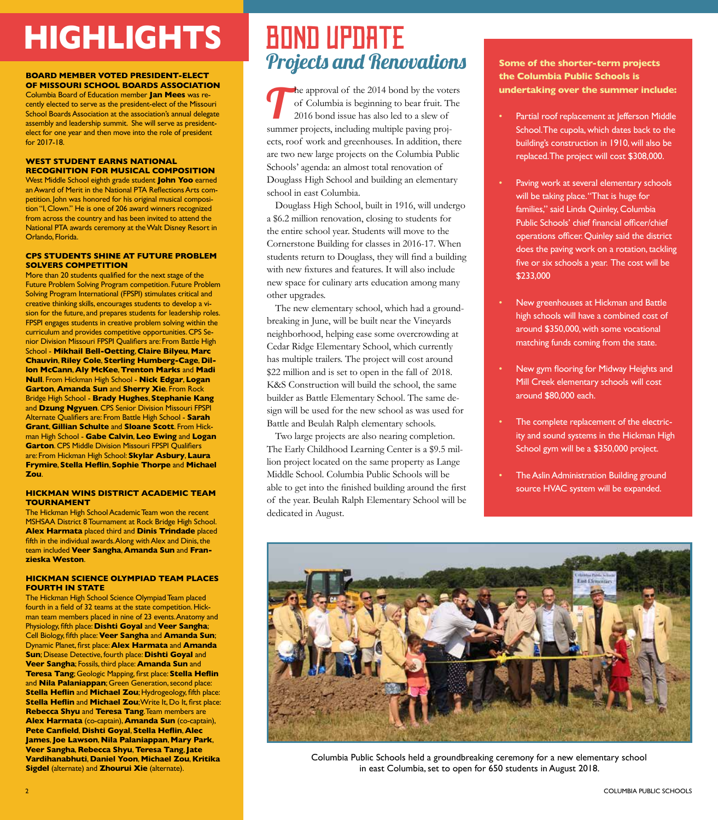# **HIGHLIGHTS** BOND UPDATE

### **BOARD MEMBER VOTED PRESIDENT-ELECT OF MISSOURI SCHOOL BOARDS ASSOCIATION**

Columbia Board of Education member **Jan Mees** was recently elected to serve as the president-elect of the Missouri School Boards Association at the association's annual delegate assembly and leadership summit. She will serve as presidentelect for one year and then move into the role of president for 2017-18.

### **WEST STUDENT EARNS NATIONAL RECOGNITION FOR MUSICAL COMPOSITION**

West Middle School eighth grade student **John Yoo** earned an Award of Merit in the National PTA Reflections Arts competition. John was honored for his original musical composition "I, Clown." He is one of 206 award winners recognized from across the country and has been invited to attend the National PTA awards ceremony at the Walt Disney Resort in Orlando, Florida.

#### **CPS STUDENTS SHINE AT FUTURE PROBLEM SOLVERS COMPETITION**

More than 20 students qualified for the next stage of the Future Problem Solving Program competition. Future Problem Solving Program International (FPSPI) stimulates critical and creative thinking skills, encourages students to develop a vision for the future, and prepares students for leadership roles. FPSPI engages students in creative problem solving within the curriculum and provides competitive opportunities. CPS Senior Division Missouri FPSPI Qualifiers are: From Battle High School - **Mikhail Bell-Oetting**, **Claire Bilyeu**, **Marc Chauvin**, **Riley Cole**, **Sterling Humberg-Cage**, **Dillon McCann**, **Aly McKee**, **Trenton Marks** and **Madi Null**. From Hickman High School - **Nick Edgar**, **Logan Garton**, **Amanda Sun** and **Sherry Xie**. From Rock Bridge High School - **Brady Hughes**, **Stephanie Kang** and **Dzung Ngyuen**. CPS Senior Division Missouri FPSPI Alternate Qualifiers are: From Battle High School - **Sarah Grant**, **Gillian Schulte** and **Sloane Scott**. From Hickman High School - **Gabe Calvin**, **Leo Ewing** and **Logan Garton**. CPS Middle Division Missouri FPSPI Qualifiers are: From Hickman High School: **Skylar Asbury**, **Laura Frymire**, **Stella Heflin**, **Sophie Thorpe** and **Michael Zou**.

#### **HICKMAN WINS DISTRICT ACADEMIC TEAM TOURNAMENT**

The Hickman High School Academic Team won the recent MSHSAA District 8 Tournament at Rock Bridge High School. **Alex Harmata** placed third and **Dinis Trindade** placed fifth in the individual awards. Along with Alex and Dinis, the team included **Veer Sangha**, **Amanda Sun** and **Franzieska Weston**.

#### **HICKMAN SCIENCE OLYMPIAD TEAM PLACES FOURTH IN STATE**

The Hickman High School Science Olympiad Team placed fourth in a field of 32 teams at the state competition. Hickman team members placed in nine of 23 events. Anatomy and Physiology, fifth place: **Dishti Goyal** and **Veer Sangha**; Cell Biology, fifth place: **Veer Sangha** and **Amanda Sun**; Dynamic Planet, first place: **Alex Harmata** and **Amanda Sun**; Disease Detective, fourth place: **Dishti Goyal** and **Veer Sangha**; Fossils, third place: **Amanda Sun** and **Teresa Tang**; Geologic Mapping, first place: **Stella Heflin** and **Nila Palaniappan**; Green Generation, second place: **Stella Heflin** and **Michael Zou**; Hydrogeology, fifth place: **Stella Heflin** and **Michael Zou**; Write It, Do It, first place: **Rebecca Shyu** and **Teresa Tang**. Team members are **Alex Harmata** (co-captain), **Amanda Sun** (co-captain), **Pete Canfield**, **Dishti Goyal**, **Stella Heflin**, **Alec James**, **Joe Lawson**, **Nila Palaniappan**, **Mary Park**, **Veer Sangha**, **Rebecca Shyu**, **Teresa Tang**, **Jate Vardihanabhuti**, **Daniel Yoon**, **Michael Zou**, **Kritika Sigdel** (alternate) and **Zhourui Xie** (alternate).

# Projects and Renovations

The approval of the 2014 bond by the voters<br>of Columbia is beginning to bear fruit. The<br>2016 bond issue has also led to a slew of of Columbia is beginning to bear fruit. The 2016 bond issue has also led to a slew of summer projects, including multiple paving projects, roof work and greenhouses. In addition, there are two new large projects on the Columbia Public Schools' agenda: an almost total renovation of Douglass High School and building an elementary school in east Columbia.

Douglass High School, built in 1916, will undergo a \$6.2 million renovation, closing to students for the entire school year. Students will move to the Cornerstone Building for classes in 2016-17. When students return to Douglass, they will find a building with new fixtures and features. It will also include new space for culinary arts education among many other upgrades.

The new elementary school, which had a groundbreaking in June, will be built near the Vineyards neighborhood, helping ease some overcrowding at Cedar Ridge Elementary School, which currently has multiple trailers. The project will cost around \$22 million and is set to open in the fall of 2018. K&S Construction will build the school, the same builder as Battle Elementary School. The same design will be used for the new school as was used for Battle and Beulah Ralph elementary schools.

Two large projects are also nearing completion. The Early Childhood Learning Center is a \$9.5 million project located on the same property as Lange Middle School. Columbia Public Schools will be able to get into the finished building around the first of the year. Beulah Ralph Elementary School will be dedicated in August.

## **Some of the shorter-term projects the Columbia Public Schools is undertaking over the summer include:**

- Partial roof replacement at Jefferson Middle School. The cupola, which dates back to the building's construction in 1910, will also be replaced. The project will cost \$308,000.
- Paving work at several elementary schools will be taking place. "That is huge for families," said Linda Quinley, Columbia Public Schools' chief financial officer/chief operations officer. Quinley said the district does the paving work on a rotation, tackling five or six schools a year. The cost will be \$233,000
- New greenhouses at Hickman and Battle high schools will have a combined cost of around \$350,000, with some vocational matching funds coming from the state.
- New gym flooring for Midway Heights and Mill Creek elementary schools will cost around \$80,000 each.
- The complete replacement of the electricity and sound systems in the Hickman High School gym will be a \$350,000 project.
- The Aslin Administration Building ground source HVAC system will be expanded.



Columbia Public Schools held a groundbreaking ceremony for a new elementary school in east Columbia, set to open for 650 students in August 2018.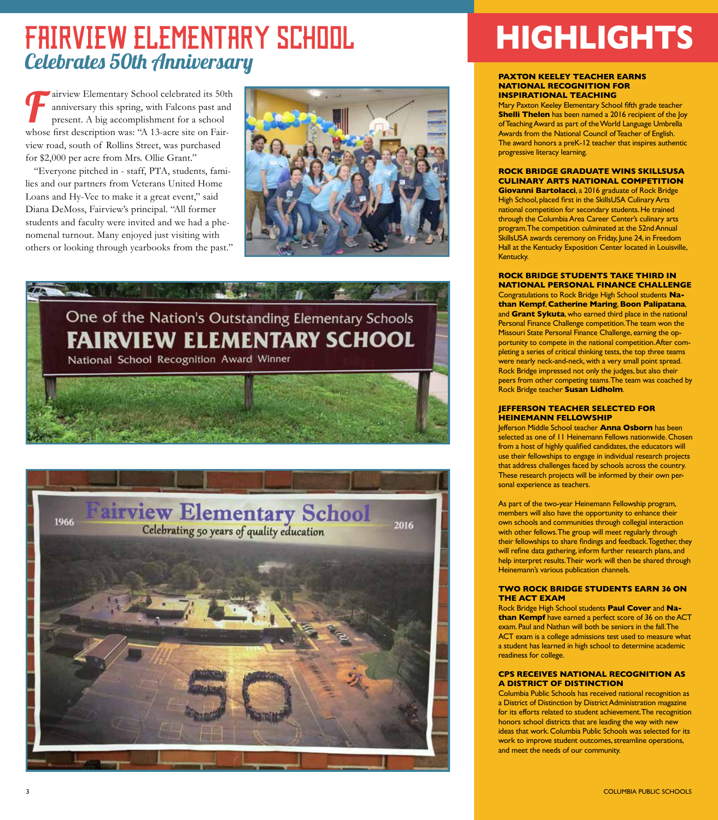# FAIRVIEW ELEMENTARY SCHOOL Celebrates 50th Anniversary

airview Elementary School celebrated its 50th anniversary this spring, with Falcons past and present. A big accomplishment for a school whose first description was: "A 13-acre site on Fairview road, south of Rollins Street, was purchased for \$2,000 per acre from Mrs. Ollie Grant."

"Everyone pitched in - staff, PTA, students, families and our partners from Veterans United Home Loans and Hy-Vee to make it a great event," said Diana DeMoss, Fairview's principal. "All former students and faculty were invited and we had a phenomenal turnout. Many enjoyed just visiting with others or looking through yearbooks from the past."







# **HIGHLIGHTS**

#### **PAXTON KEELEY TEACHER EARNS NATIONAL RECOGNITION FOR INSPIRATIONAL TEACHING**

Mary Paxton Keeley Elementary School fifth grade teacher **Shelli Thelen** has been named a 2016 recipient of the Joy of Teaching Award as part of the World Language Umbrella Awards from the National Council of Teacher of English. The award honors a preK-12 teacher that inspires authentic progressive literacy learning.

**ROCK BRIDGE GRADUATE WINS SKILLSUSA CULINARY ARTS NATIONAL COMPETITION Giovanni Bartolacci**, a 2016 graduate of Rock Bridge High School, placed first in the SkillsUSA Culinary Arts

national competition for secondary students. He trained through the Columbia Area Career Center's culinary arts program. The competition culminated at the 52nd Annual SkillsUSA awards ceremony on Friday, June 24, in Freedom Hall at the Kentucky Exposition Center located in Louisville, Kentucky.

**ROCK BRIDGE STUDENTS TAKE THIRD IN NATIONAL PERSONAL FINANCE CHALLENGE** Congratulations to Rock Bridge High School students **Nathan Kempf**, **Catherine Maring**, **Boon Palipatana**, and **Grant Sykuta**, who earned third place in the national Personal Finance Challenge competition. The team won the Missouri State Personal Finance Challenge, earning the opportunity to compete in the national competition. After completing a series of critical thinking tests, the top three teams were nearly neck-and-neck, with a very small point spread. Rock Bridge impressed not only the judges, but also their peers from other competing teams. The team was coached by Rock Bridge teacher **Susan Lidholm**.

#### **JEFFERSON TEACHER SELECTED FOR HEINEMANN FELLOWSHIP**

Jefferson Middle School teacher **Anna Osborn** has been selected as one of 11 Heinemann Fellows nationwide. Chosen from a host of highly qualified candidates, the educators will use their fellowships to engage in individual research projects that address challenges faced by schools across the country. These research projects will be informed by their own personal experience as teachers.

As part of the two-year Heinemann Fellowship program, members will also have the opportunity to enhance their own schools and communities through collegial interaction with other fellows. The group will meet regularly through their fellowships to share findings and feedback. Together, they will refine data gathering, inform further research plans, and help interpret results. Their work will then be shared through Heinemann's various publication channels.

#### **TWO ROCK BRIDGE STUDENTS EARN 36 ON THE ACT EXAM**

Rock Bridge High School students **Paul Cover** and **Nathan Kempf** have earned a perfect score of 36 on the ACT exam. Paul and Nathan will both be seniors in the fall. The ACT exam is a college admissions test used to measure what a student has learned in high school to determine academic readiness for college.

### **CPS RECEIVES NATIONAL RECOGNITION AS A DISTRICT OF DISTINCTION**

Columbia Public Schools has received national recognition as a District of Distinction by District Administration magazine for its efforts related to student achievement. The recognition honors school districts that are leading the way with new ideas that work. Columbia Public Schools was selected for its work to improve student outcomes, streamline operations, and meet the needs of our community.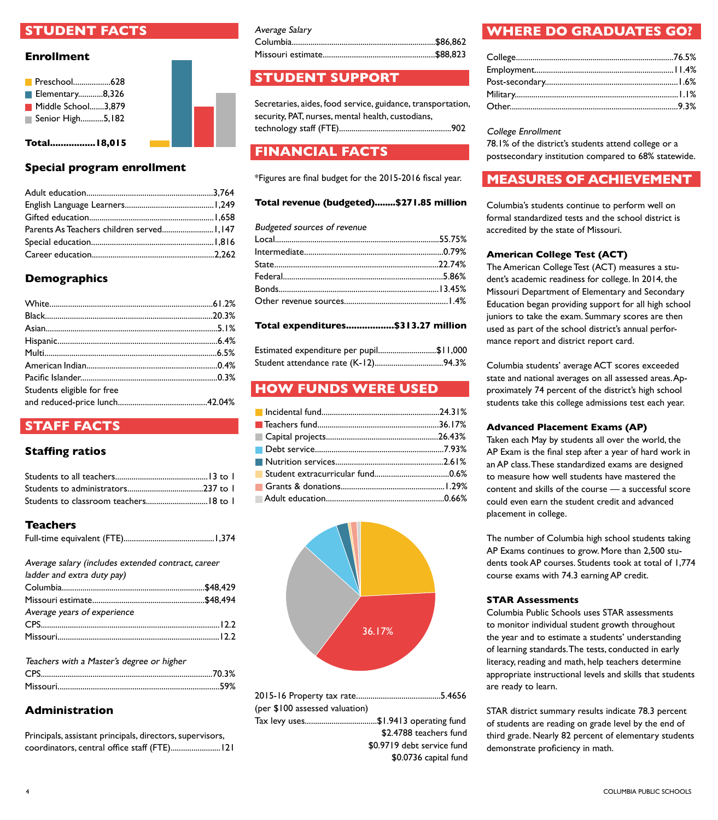## **STUDENT FACTS**

## **Enrollment**



**Total.................18,015**

## **Special program enrollment**

## **Demographics**

| Students eligible for free |  |
|----------------------------|--|
|                            |  |

## **STAFF FACTS**

## **Staffing ratios**

## **Teachers**

|--|--|

| Average salary (includes extended contract, career |  |
|----------------------------------------------------|--|
| ladder and extra duty pay)                         |  |
|                                                    |  |
|                                                    |  |
| Average years of experience                        |  |
|                                                    |  |
|                                                    |  |

| Teachers with a Master's degree or higher |  |
|-------------------------------------------|--|
|                                           |  |
|                                           |  |

## **Administration**

Principals, assistant principals, directors, supervisors, coordinators, central office staff (FTE)........................121

| Average Salary |  |
|----------------|--|
|                |  |
|                |  |

## **STUDENT SUPPORT**

Secretaries, aides, food service, guidance, transportation, security, PAT, nurses, mental health, custodians, technology staff (FTE)......................................................902

## **FINANCIAL FACTS**

\*Figures are final budget for the 2015-2016 fiscal year.

## **Total revenue (budgeted)........\$271.85 million**

| <b>Budgeted sources of revenue</b> |  |
|------------------------------------|--|
|                                    |  |
|                                    |  |
|                                    |  |
|                                    |  |
|                                    |  |
|                                    |  |
|                                    |  |

## **Total expenditures..................\$313.27 million**

| Estimated expenditure per pupil\$11,000 |  |
|-----------------------------------------|--|
|                                         |  |

## **HOW FUNDS WERE USED**



| (per \$100 assessed valuation) |                                      |
|--------------------------------|--------------------------------------|
|                                | Tax levy uses\$1.9413 operating fund |
|                                | \$2.4788 teachers fund               |
|                                | \$0.9719 debt service fund           |
|                                | \$0.0736 capital fund                |

## **WHERE DO GRADUATES GO?**

College Enrollment

78.1% of the district's students attend college or a postsecondary institution compared to 68% statewide.

## **MEASURES OF ACHIEVEMENT**

Columbia's students continue to perform well on formal standardized tests and the school district is accredited by the state of Missouri.

## **American College Test (ACT)**

The American College Test (ACT) measures a student's academic readiness for college. In 2014, the Missouri Department of Elementary and Secondary Education began providing support for all high school juniors to take the exam. Summary scores are then used as part of the school district's annual performance report and district report card.

Columbia students' average ACT scores exceeded state and national averages on all assessed areas. Approximately 74 percent of the district's high school students take this college admissions test each year.

## **Advanced Placement Exams (AP)**

Taken each May by students all over the world, the AP Exam is the final step after a year of hard work in an AP class. These standardized exams are designed to measure how well students have mastered the content and skills of the course — a successful score could even earn the student credit and advanced placement in college.

The number of Columbia high school students taking AP Exams continues to grow. More than 2,500 students took AP courses. Students took at total of 1,774 course exams with 74.3 earning AP credit.

## **STAR Assessments**

Columbia Public Schools uses STAR assessments to monitor individual student growth throughout the year and to estimate a students' understanding of learning standards. The tests, conducted in early literacy, reading and math, help teachers determine appropriate instructional levels and skills that students are ready to learn.

STAR district summary results indicate 78.3 percent of students are reading on grade level by the end of third grade. Nearly 82 percent of elementary students demonstrate proficiency in math.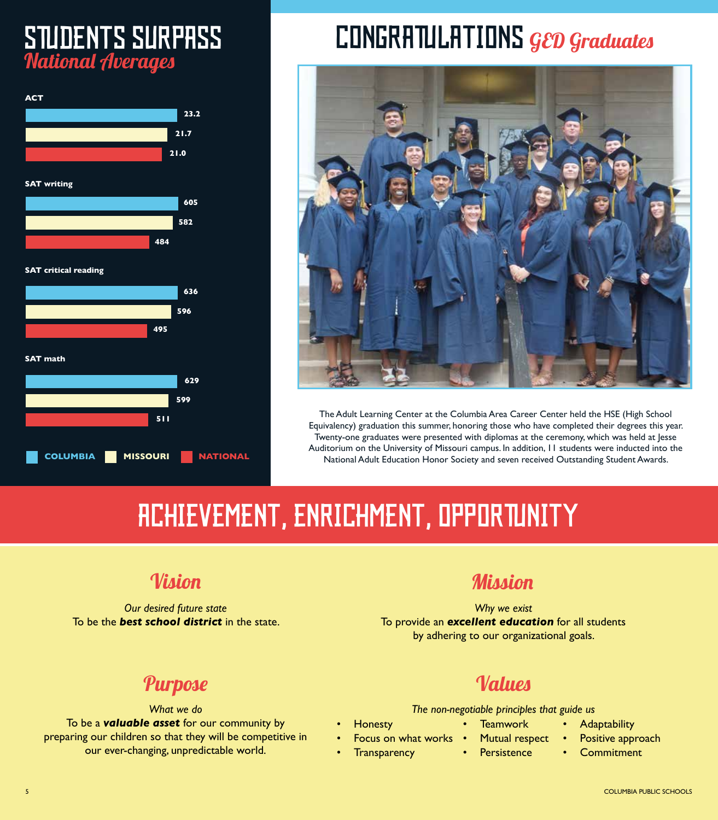# STUDENTS SURPASS National Averages



# CONGRATULATIONS GED Graduates



The Adult Learning Center at the Columbia Area Career Center held the HSE (High School Equivalency) graduation this summer, honoring those who have completed their degrees this year. Twenty-one graduates were presented with diplomas at the ceremony, which was held at Jesse Auditorium on the University of Missouri campus. In addition, 11 students were inducted into the National Adult Education Honor Society and seven received Outstanding Student Awards.

# ACHIEVEMENT, ENRICHMENT, OPPORTUNITY

*Our desired future state* To be the *best school district* in the state.

## Vision Mission

*Why we exist* To provide an *excellent education* for all students by adhering to our organizational goals.

## Purpose

*What we do* To be a *valuable asset* for our community by preparing our children so that they will be competitive in our ever-changing, unpredictable world.

## Values

**Teamwork** Mutual respect

*The non-negotiable principles that guide us*

• Persistence

- **Honesty**
- Focus on what works
- Transparency
- - **Adaptability** 
		- Positive approach
		- **Commitment**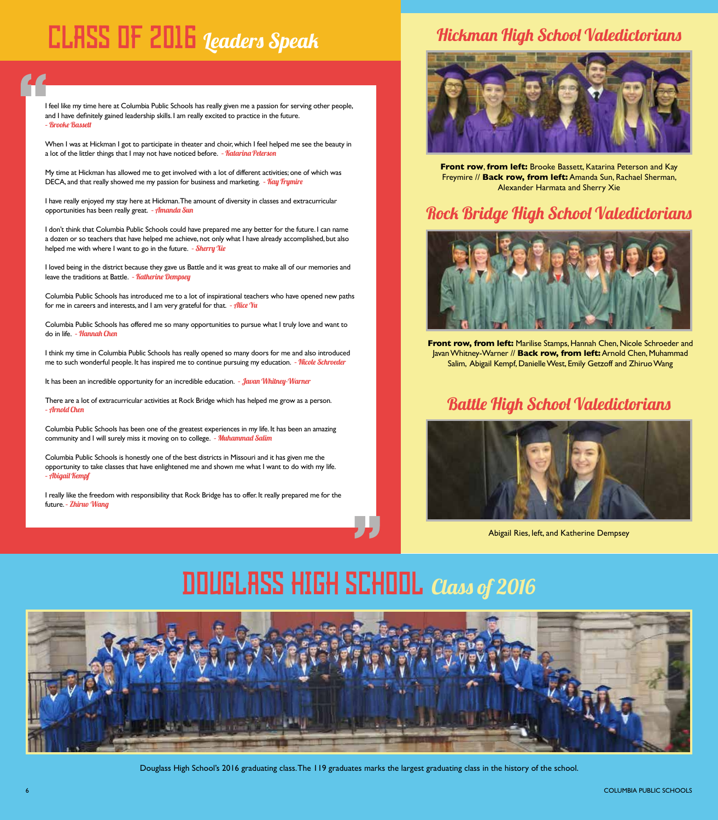# CLASS OF 2016 Leaders Speak

I feel like my time here at Columbia Public Schools has really given me a passion for serving other people, and I have definitely gained leadership skills. I am really excited to practice in the future. – Brooke Bassett

When I was at Hickman I got to participate in theater and choir, which I feel helped me see the beauty in a lot of the littler things that I may not have noticed before. - Katarina Peterson

My time at Hickman has allowed me to get involved with a lot of different activities; one of which was DECA, and that really showed me my passion for business and marketing. - Kay Trymire

I have really enjoyed my stay here at Hickman. The amount of diversity in classes and extracurricular opportunities has been really great. - *Amanda Sun* 

I don't think that Columbia Public Schools could have prepared me any better for the future. I can name a dozen or so teachers that have helped me achieve, not only what I have already accomplished, but also helped me with where I want to go in the future. - Sherry Xie

I loved being in the district because they gave us Battle and it was great to make all of our memories and leave the traditions at Battle. - Katherine Dempsey

Columbia Public Schools has introduced me to a lot of inspirational teachers who have opened new paths for me in careers and interests, and I am very grateful for that.  $-$  *fllice*  $\gamma$ u

Columbia Public Schools has offered me so many opportunities to pursue what I truly love and want to do in life. - Hannah Chen

I think my time in Columbia Public Schools has really opened so many doors for me and also introduced me to such wonderful people. It has inspired me to continue pursuing my education. - Nicole Schroeder

It has been an incredible opportunity for an incredible education. - Javan Whitney-Warner

There are a lot of extracurricular activities at Rock Bridge which has helped me grow as a person. – Arnold Chen

Columbia Public Schools has been one of the greatest experiences in my life. It has been an amazing community and I will surely miss it moving on to college. - Muhammad Salim

Columbia Public Schools is honestly one of the best districts in Missouri and it has given me the opportunity to take classes that have enlightened me and shown me what I want to do with my life. – Abigail Kempf

I really like the freedom with responsibility that Rock Bridge has to offer. It really prepared me for the future. - Zhiruo Wang

## Hickman High School Valedictorians



**Front row**, **from left:** Brooke Bassett, Katarina Peterson and Kay Freymire // **Back row, from left:** Amanda Sun, Rachael Sherman, Alexander Harmata and Sherry Xie

## Rock Bridge High School Valedictorians



**Front row, from left:** Marilise Stamps, Hannah Chen, Nicole Schroeder and Javan Whitney-Warner // **Back row, from left:** Arnold Chen, Muhammad Salim, Abigail Kempf, Danielle West, Emily Getzoff and Zhiruo Wang

## Battle High School Valedictorians



Abigail Ries, left, and Katherine Dempsey

# DOUGLASS HIGH SCHOOLClass of 2016



Douglass High School's 2016 graduating class. The 119 graduates marks the largest graduating class in the history of the school.